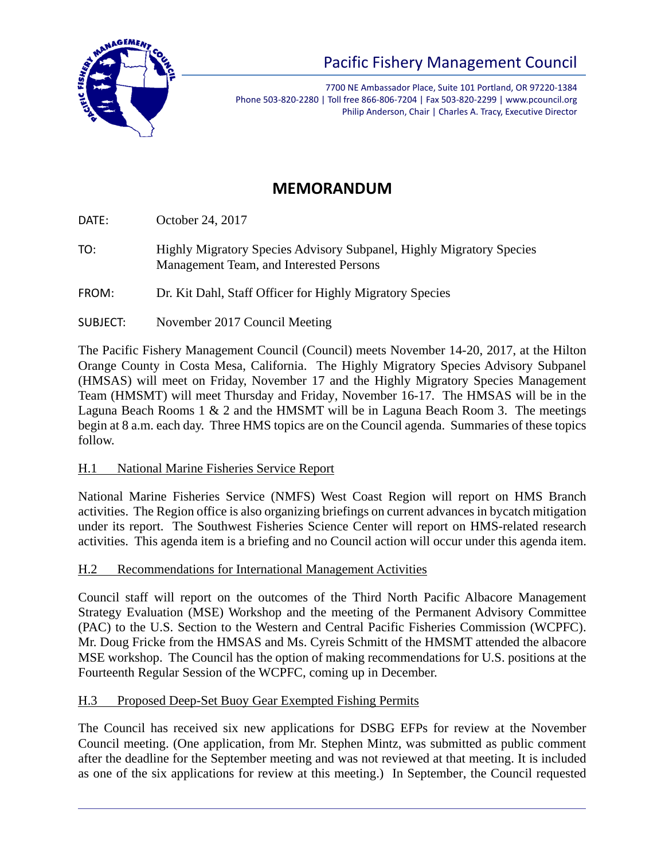

# Pacific Fishery Management Council

7700 NE Ambassador Place, Suite 101 Portland, OR 97220-1384 Phone 503-820-2280 | Toll free 866-806-7204 | Fax 503-820-2299 | www.pcouncil.org Philip Anderson, Chair | Charles A. Tracy, Executive Director

## **MEMORANDUM**

DATE: October 24, 2017

TO: Highly Migratory Species Advisory Subpanel, Highly Migratory Species Management Team, and Interested Persons

FROM: Dr. Kit Dahl, Staff Officer for Highly Migratory Species

SUBJECT: November 2017 Council Meeting

The Pacific Fishery Management Council (Council) meets November 14-20, 2017, at the Hilton Orange County in Costa Mesa, California. The Highly Migratory Species Advisory Subpanel (HMSAS) will meet on Friday, November 17 and the Highly Migratory Species Management Team (HMSMT) will meet Thursday and Friday, November 16-17. The HMSAS will be in the Laguna Beach Rooms  $1 \& 2$  and the HMSMT will be in Laguna Beach Room 3. The meetings begin at 8 a.m. each day. Three HMS topics are on the Council agenda. Summaries of these topics follow.

### H.1 National Marine Fisheries Service Report

National Marine Fisheries Service (NMFS) West Coast Region will report on HMS Branch activities. The Region office is also organizing briefings on current advances in bycatch mitigation under its report. The Southwest Fisheries Science Center will report on HMS-related research activities. This agenda item is a briefing and no Council action will occur under this agenda item.

### H.2 Recommendations for International Management Activities

Council staff will report on the outcomes of the Third North Pacific Albacore Management Strategy Evaluation (MSE) Workshop and the meeting of the Permanent Advisory Committee (PAC) to the U.S. Section to the Western and Central Pacific Fisheries Commission (WCPFC). Mr. Doug Fricke from the HMSAS and Ms. Cyreis Schmitt of the HMSMT attended the albacore MSE workshop. The Council has the option of making recommendations for U.S. positions at the Fourteenth Regular Session of the WCPFC, coming up in December.

### H.3 Proposed Deep-Set Buoy Gear Exempted Fishing Permits

The Council has received six new applications for DSBG EFPs for review at the November Council meeting. (One application, from Mr. Stephen Mintz, was submitted as public comment after the deadline for the September meeting and was not reviewed at that meeting. It is included as one of the six applications for review at this meeting.) In September, the Council requested